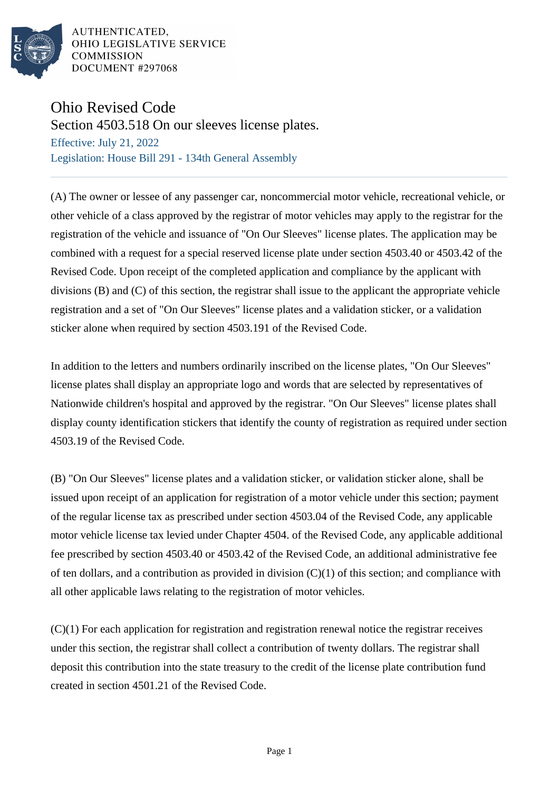

AUTHENTICATED. OHIO LEGISLATIVE SERVICE **COMMISSION** DOCUMENT #297068

## Ohio Revised Code

Section 4503.518 On our sleeves license plates.

Effective: July 21, 2022 Legislation: House Bill 291 - 134th General Assembly

(A) The owner or lessee of any passenger car, noncommercial motor vehicle, recreational vehicle, or other vehicle of a class approved by the registrar of motor vehicles may apply to the registrar for the registration of the vehicle and issuance of "On Our Sleeves" license plates. The application may be combined with a request for a special reserved license plate under section 4503.40 or 4503.42 of the Revised Code. Upon receipt of the completed application and compliance by the applicant with divisions (B) and (C) of this section, the registrar shall issue to the applicant the appropriate vehicle registration and a set of "On Our Sleeves" license plates and a validation sticker, or a validation sticker alone when required by section 4503.191 of the Revised Code.

In addition to the letters and numbers ordinarily inscribed on the license plates, "On Our Sleeves" license plates shall display an appropriate logo and words that are selected by representatives of Nationwide children's hospital and approved by the registrar. "On Our Sleeves" license plates shall display county identification stickers that identify the county of registration as required under section 4503.19 of the Revised Code.

(B) "On Our Sleeves" license plates and a validation sticker, or validation sticker alone, shall be issued upon receipt of an application for registration of a motor vehicle under this section; payment of the regular license tax as prescribed under section 4503.04 of the Revised Code, any applicable motor vehicle license tax levied under Chapter 4504. of the Revised Code, any applicable additional fee prescribed by section 4503.40 or 4503.42 of the Revised Code, an additional administrative fee of ten dollars, and a contribution as provided in division  $(C)(1)$  of this section; and compliance with all other applicable laws relating to the registration of motor vehicles.

(C)(1) For each application for registration and registration renewal notice the registrar receives under this section, the registrar shall collect a contribution of twenty dollars. The registrar shall deposit this contribution into the state treasury to the credit of the license plate contribution fund created in section 4501.21 of the Revised Code.